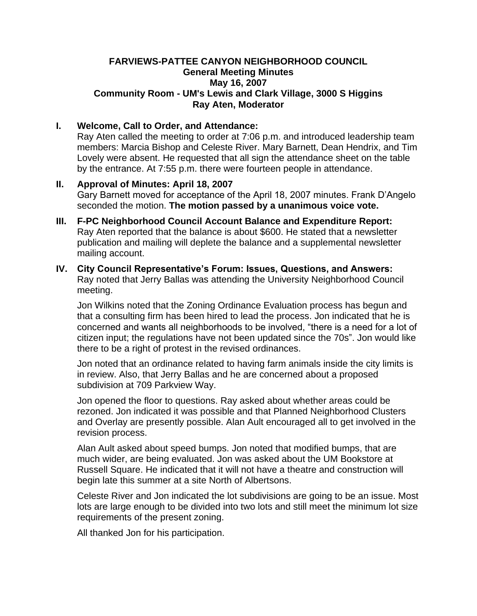#### **FARVIEWS-PATTEE CANYON NEIGHBORHOOD COUNCIL General Meeting Minutes May 16, 2007 Community Room - UM's Lewis and Clark Village, 3000 S Higgins Ray Aten, Moderator**

### **I. Welcome, Call to Order, and Attendance:**

Ray Aten called the meeting to order at 7:06 p.m. and introduced leadership team members: Marcia Bishop and Celeste River. Mary Barnett, Dean Hendrix, and Tim Lovely were absent. He requested that all sign the attendance sheet on the table by the entrance. At 7:55 p.m. there were fourteen people in attendance.

- **II. Approval of Minutes: April 18, 2007** Gary Barnett moved for acceptance of the April 18, 2007 minutes. Frank D'Angelo seconded the motion. **The motion passed by a unanimous voice vote.**
- **III. F-PC Neighborhood Council Account Balance and Expenditure Report:** Ray Aten reported that the balance is about \$600. He stated that a newsletter publication and mailing will deplete the balance and a supplemental newsletter mailing account.

#### **IV. City Council Representative's Forum: Issues, Questions, and Answers:** Ray noted that Jerry Ballas was attending the University Neighborhood Council meeting.

Jon Wilkins noted that the Zoning Ordinance Evaluation process has begun and that a consulting firm has been hired to lead the process. Jon indicated that he is concerned and wants all neighborhoods to be involved, "there is a need for a lot of citizen input; the regulations have not been updated since the 70s". Jon would like there to be a right of protest in the revised ordinances.

Jon noted that an ordinance related to having farm animals inside the city limits is in review. Also, that Jerry Ballas and he are concerned about a proposed subdivision at 709 Parkview Way.

Jon opened the floor to questions. Ray asked about whether areas could be rezoned. Jon indicated it was possible and that Planned Neighborhood Clusters and Overlay are presently possible. Alan Ault encouraged all to get involved in the revision process.

Alan Ault asked about speed bumps. Jon noted that modified bumps, that are much wider, are being evaluated. Jon was asked about the UM Bookstore at Russell Square. He indicated that it will not have a theatre and construction will begin late this summer at a site North of Albertsons.

Celeste River and Jon indicated the lot subdivisions are going to be an issue. Most lots are large enough to be divided into two lots and still meet the minimum lot size requirements of the present zoning.

All thanked Jon for his participation.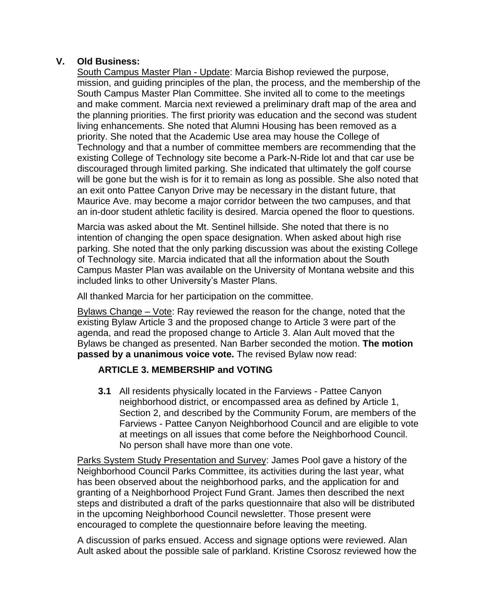# **V. Old Business:**

South Campus Master Plan - Update: Marcia Bishop reviewed the purpose, mission, and guiding principles of the plan, the process, and the membership of the South Campus Master Plan Committee. She invited all to come to the meetings and make comment. Marcia next reviewed a preliminary draft map of the area and the planning priorities. The first priority was education and the second was student living enhancements. She noted that Alumni Housing has been removed as a priority. She noted that the Academic Use area may house the College of Technology and that a number of committee members are recommending that the existing College of Technology site become a Park-N-Ride lot and that car use be discouraged through limited parking. She indicated that ultimately the golf course will be gone but the wish is for it to remain as long as possible. She also noted that an exit onto Pattee Canyon Drive may be necessary in the distant future, that Maurice Ave. may become a major corridor between the two campuses, and that an in-door student athletic facility is desired. Marcia opened the floor to questions.

Marcia was asked about the Mt. Sentinel hillside. She noted that there is no intention of changing the open space designation. When asked about high rise parking. She noted that the only parking discussion was about the existing College of Technology site. Marcia indicated that all the information about the South Campus Master Plan was available on the University of Montana website and this included links to other University's Master Plans.

All thanked Marcia for her participation on the committee.

Bylaws Change – Vote: Ray reviewed the reason for the change, noted that the existing Bylaw Article 3 and the proposed change to Article 3 were part of the agenda, and read the proposed change to Article 3. Alan Ault moved that the Bylaws be changed as presented. Nan Barber seconded the motion. **The motion passed by a unanimous voice vote.** The revised Bylaw now read:

## **ARTICLE 3. MEMBERSHIP and VOTING**

**3.1** All residents physically located in the Farviews - Pattee Canyon neighborhood district, or encompassed area as defined by Article 1, Section 2, and described by the Community Forum, are members of the Farviews - Pattee Canyon Neighborhood Council and are eligible to vote at meetings on all issues that come before the Neighborhood Council. No person shall have more than one vote.

Parks System Study Presentation and Survey: James Pool gave a history of the Neighborhood Council Parks Committee, its activities during the last year, what has been observed about the neighborhood parks, and the application for and granting of a Neighborhood Project Fund Grant. James then described the next steps and distributed a draft of the parks questionnaire that also will be distributed in the upcoming Neighborhood Council newsletter. Those present were encouraged to complete the questionnaire before leaving the meeting.

A discussion of parks ensued. Access and signage options were reviewed. Alan Ault asked about the possible sale of parkland. Kristine Csorosz reviewed how the